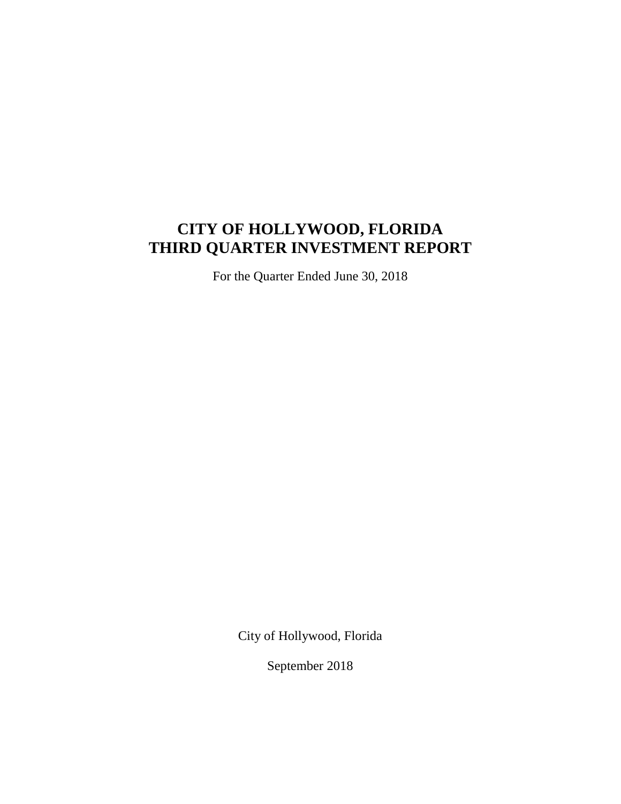# **CITY OF HOLLYWOOD, FLORIDA THIRD QUARTER INVESTMENT REPORT**

For the Quarter Ended June 30, 2018

City of Hollywood, Florida

September 2018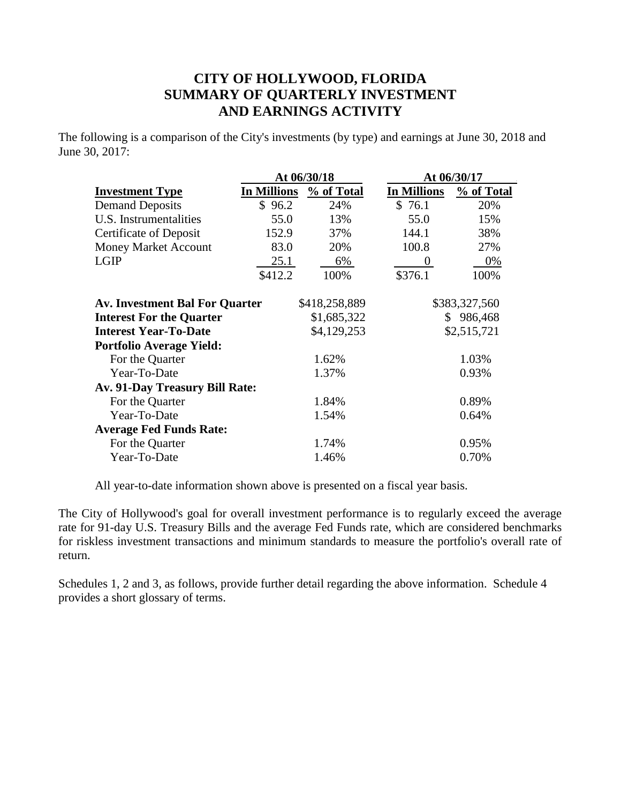## **CITY OF HOLLYWOOD, FLORIDA SUMMARY OF QUARTERLY INVESTMENT AND EARNINGS ACTIVITY**

The following is a comparison of the City's investments (by type) and earnings at June 30, 2018 and June 30, 2017:

|                                       | At 06/30/18 |               | At 06/30/17        |               |  |  |
|---------------------------------------|-------------|---------------|--------------------|---------------|--|--|
| <b>Investment Type</b>                | In Millions | % of Total    | <b>In Millions</b> | % of Total    |  |  |
| <b>Demand Deposits</b>                | \$96.2      | 24%           | \$76.1             | 20%           |  |  |
| U.S. Instrumentalities                | 55.0        | 13%           | 55.0               | 15%           |  |  |
| <b>Certificate of Deposit</b>         | 152.9       | 37%           | 144.1              | 38%           |  |  |
| <b>Money Market Account</b>           | 83.0        | 20%           | 100.8              | 27%           |  |  |
| <b>LGIP</b>                           | 25.1        | 6%            | $\theta$           | $0\%$         |  |  |
|                                       | \$412.2     | 100%          | \$376.1            | 100%          |  |  |
|                                       |             |               |                    |               |  |  |
| <b>Av. Investment Bal For Quarter</b> |             | \$418,258,889 |                    | \$383,327,560 |  |  |
| <b>Interest For the Quarter</b>       |             | \$1,685,322   | S.                 | 986,468       |  |  |
| <b>Interest Year-To-Date</b>          |             | \$4,129,253   |                    | \$2,515,721   |  |  |
| <b>Portfolio Average Yield:</b>       |             |               |                    |               |  |  |
| For the Quarter                       |             | 1.62%         |                    | 1.03%         |  |  |
| Year-To-Date                          |             | 1.37%         |                    | 0.93%         |  |  |
| <b>Av. 91-Day Treasury Bill Rate:</b> |             |               |                    |               |  |  |
| For the Quarter                       |             | 1.84%         |                    | 0.89%         |  |  |
| Year-To-Date                          |             | 1.54%         |                    | 0.64%         |  |  |
| <b>Average Fed Funds Rate:</b>        |             |               |                    |               |  |  |
| For the Quarter                       |             | 1.74%         |                    | 0.95%         |  |  |
| Year-To-Date                          |             | 1.46%         |                    | 0.70%         |  |  |

All year-to-date information shown above is presented on a fiscal year basis.

The City of Hollywood's goal for overall investment performance is to regularly exceed the average rate for 91-day U.S. Treasury Bills and the average Fed Funds rate, which are considered benchmarks for riskless investment transactions and minimum standards to measure the portfolio's overall rate of return.

Schedules 1, 2 and 3, as follows, provide further detail regarding the above information. Schedule 4 provides a short glossary of terms.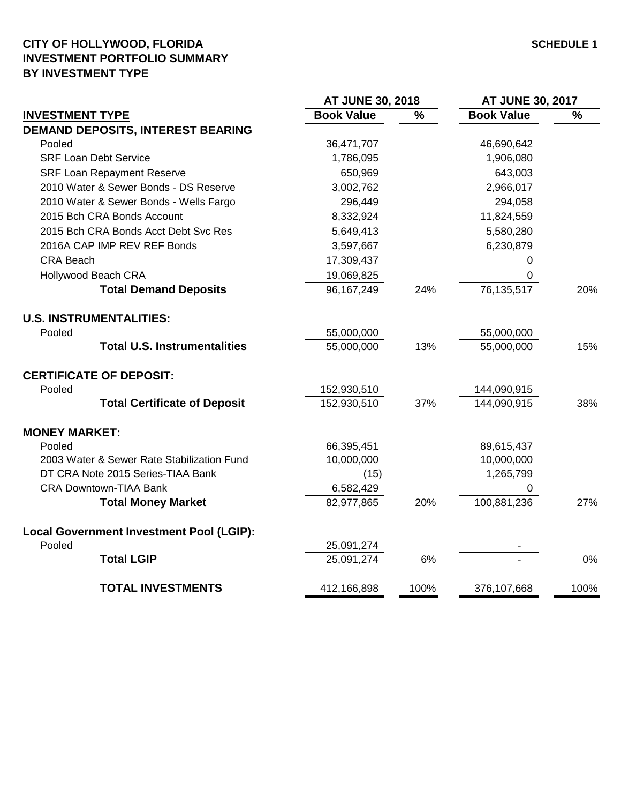### **CITY OF HOLLYWOOD, FLORIDA SCHEDULE 1 INVESTMENT PORTFOLIO SUMMARY BY INVESTMENT TYPE**

|                                                 | AT JUNE 30, 2018  |               | <b>AT JUNE 30, 2017</b> |      |  |
|-------------------------------------------------|-------------------|---------------|-------------------------|------|--|
| <b>INVESTMENT TYPE</b>                          | <b>Book Value</b> | $\frac{0}{0}$ | <b>Book Value</b>       | %    |  |
| <b>DEMAND DEPOSITS, INTEREST BEARING</b>        |                   |               |                         |      |  |
| Pooled                                          | 36,471,707        |               | 46,690,642              |      |  |
| <b>SRF Loan Debt Service</b>                    | 1,786,095         |               | 1,906,080               |      |  |
| <b>SRF Loan Repayment Reserve</b>               | 650,969           |               | 643,003                 |      |  |
| 2010 Water & Sewer Bonds - DS Reserve           | 3,002,762         |               | 2,966,017               |      |  |
| 2010 Water & Sewer Bonds - Wells Fargo          | 296,449           |               | 294,058                 |      |  |
| 2015 Bch CRA Bonds Account                      | 8,332,924         |               | 11,824,559              |      |  |
| 2015 Bch CRA Bonds Acct Debt Svc Res            | 5,649,413         |               | 5,580,280               |      |  |
| 2016A CAP IMP REV REF Bonds                     | 3,597,667         |               | 6,230,879               |      |  |
| <b>CRA Beach</b>                                | 17,309,437        |               | 0                       |      |  |
| <b>Hollywood Beach CRA</b>                      | 19,069,825        |               | 0                       |      |  |
| <b>Total Demand Deposits</b>                    | 96,167,249        | 24%           | 76,135,517              | 20%  |  |
| <b>U.S. INSTRUMENTALITIES:</b>                  |                   |               |                         |      |  |
| Pooled                                          | 55,000,000        |               | 55,000,000              |      |  |
| <b>Total U.S. Instrumentalities</b>             | 55,000,000        | 13%           | 55,000,000              | 15%  |  |
| <b>CERTIFICATE OF DEPOSIT:</b>                  |                   |               |                         |      |  |
| Pooled                                          | 152,930,510       |               | 144,090,915             |      |  |
| <b>Total Certificate of Deposit</b>             | 152,930,510       | 37%           | 144,090,915             | 38%  |  |
| <b>MONEY MARKET:</b>                            |                   |               |                         |      |  |
| Pooled                                          | 66,395,451        |               | 89,615,437              |      |  |
| 2003 Water & Sewer Rate Stabilization Fund      | 10,000,000        |               | 10,000,000              |      |  |
| DT CRA Note 2015 Series-TIAA Bank               | (15)              |               | 1,265,799               |      |  |
| CRA Downtown-TIAA Bank                          | 6,582,429         |               | 0                       |      |  |
| <b>Total Money Market</b>                       | 82,977,865        | 20%           | 100,881,236             | 27%  |  |
| <b>Local Government Investment Pool (LGIP):</b> |                   |               |                         |      |  |
| Pooled                                          | 25,091,274        |               |                         |      |  |
| <b>Total LGIP</b>                               | 25,091,274        | 6%            |                         | 0%   |  |
| <b>TOTAL INVESTMENTS</b>                        | 412,166,898       | 100%          | 376,107,668             | 100% |  |
|                                                 |                   |               |                         |      |  |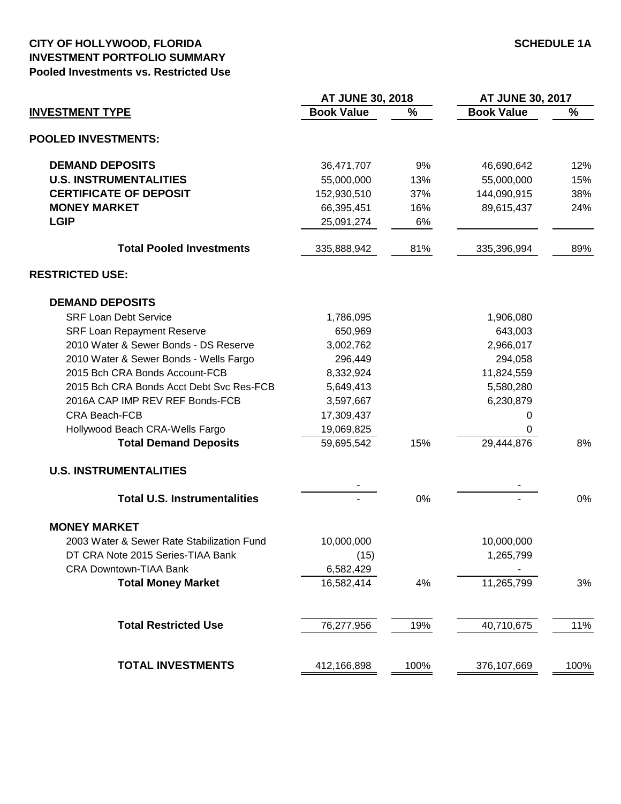#### **CITY OF HOLLYWOOD, FLORIDA SCHEDULE 1A INVESTMENT PORTFOLIO SUMMARY Pooled Investments vs. Restricted Use**

|                                            | <b>AT JUNE 30, 2018</b> |      | <b>AT JUNE 30, 2017</b> |      |  |
|--------------------------------------------|-------------------------|------|-------------------------|------|--|
| <b>INVESTMENT TYPE</b>                     | <b>Book Value</b>       | %    | <b>Book Value</b>       | %    |  |
| <b>POOLED INVESTMENTS:</b>                 |                         |      |                         |      |  |
| <b>DEMAND DEPOSITS</b>                     | 36,471,707              | 9%   | 46,690,642              | 12%  |  |
| <b>U.S. INSTRUMENTALITIES</b>              | 55,000,000              | 13%  | 55,000,000              | 15%  |  |
| <b>CERTIFICATE OF DEPOSIT</b>              | 152,930,510             | 37%  | 144,090,915             | 38%  |  |
| <b>MONEY MARKET</b>                        | 66,395,451              | 16%  | 89,615,437              | 24%  |  |
| <b>LGIP</b>                                | 25,091,274              | 6%   |                         |      |  |
| <b>Total Pooled Investments</b>            | 335,888,942             | 81%  | 335,396,994             | 89%  |  |
| <b>RESTRICTED USE:</b>                     |                         |      |                         |      |  |
| <b>DEMAND DEPOSITS</b>                     |                         |      |                         |      |  |
| <b>SRF Loan Debt Service</b>               | 1,786,095               |      | 1,906,080               |      |  |
| <b>SRF Loan Repayment Reserve</b>          | 650,969                 |      | 643,003                 |      |  |
| 2010 Water & Sewer Bonds - DS Reserve      | 3,002,762               |      | 2,966,017               |      |  |
| 2010 Water & Sewer Bonds - Wells Fargo     | 296,449                 |      | 294,058                 |      |  |
| 2015 Bch CRA Bonds Account-FCB             | 8,332,924               |      | 11,824,559              |      |  |
| 2015 Bch CRA Bonds Acct Debt Svc Res-FCB   | 5,649,413               |      | 5,580,280               |      |  |
| 2016A CAP IMP REV REF Bonds-FCB            | 3,597,667               |      | 6,230,879               |      |  |
| CRA Beach-FCB                              | 17,309,437              |      | 0                       |      |  |
| Hollywood Beach CRA-Wells Fargo            | 19,069,825              |      | 0                       |      |  |
| <b>Total Demand Deposits</b>               | 59,695,542              | 15%  | 29,444,876              | 8%   |  |
| <b>U.S. INSTRUMENTALITIES</b>              |                         |      |                         |      |  |
|                                            |                         |      |                         |      |  |
| <b>Total U.S. Instrumentalities</b>        |                         | 0%   |                         | 0%   |  |
| <b>MONEY MARKET</b>                        |                         |      |                         |      |  |
| 2003 Water & Sewer Rate Stabilization Fund | 10,000,000              |      | 10,000,000              |      |  |
| DT CRA Note 2015 Series-TIAA Bank          | (15)                    |      | 1,265,799               |      |  |
| <b>CRA Downtown-TIAA Bank</b>              | 6,582,429               |      |                         |      |  |
| <b>Total Money Market</b>                  | 16,582,414              | 4%   | 11,265,799              | 3%   |  |
| <b>Total Restricted Use</b>                | 76,277,956              | 19%  | 40,710,675              | 11%  |  |
|                                            |                         |      |                         |      |  |
| <b>TOTAL INVESTMENTS</b>                   | 412,166,898             | 100% | 376,107,669             | 100% |  |
|                                            |                         |      |                         |      |  |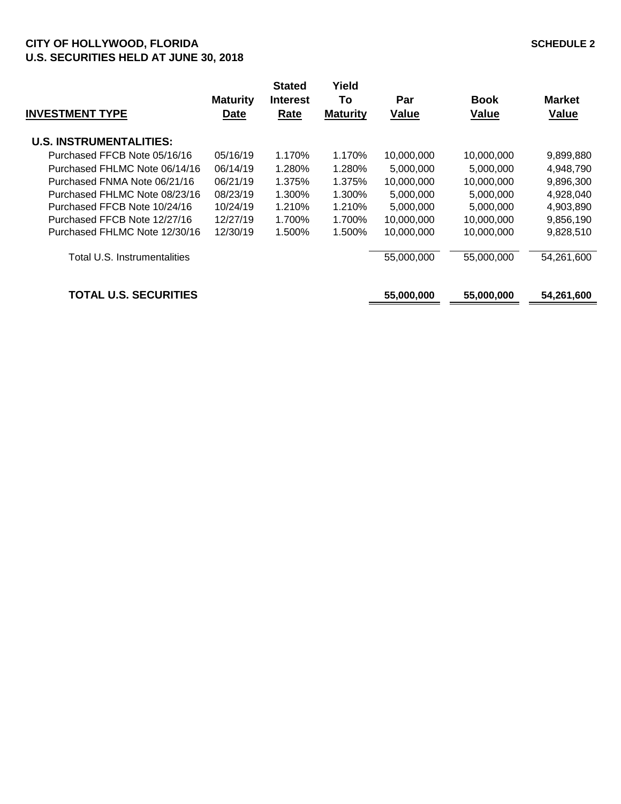#### **CITY OF HOLLYWOOD, FLORIDA SCHEDULE 2 U.S. SECURITIES HELD AT JUNE 30, 2018**

| <b>INVESTMENT TYPE</b>         | <b>Maturity</b><br><b>Date</b> | <b>Stated</b><br><b>Interest</b><br>Rate | Yield<br>To<br><b>Maturity</b> | Par<br><b>Value</b> | <b>Book</b><br><b>Value</b> | <b>Market</b><br>Value |
|--------------------------------|--------------------------------|------------------------------------------|--------------------------------|---------------------|-----------------------------|------------------------|
| <b>U.S. INSTRUMENTALITIES:</b> |                                |                                          |                                |                     |                             |                        |
| Purchased FFCB Note 05/16/16   | 05/16/19                       | 1.170%                                   | 1.170%                         | 10,000,000          | 10,000,000                  | 9,899,880              |
| Purchased FHLMC Note 06/14/16  | 06/14/19                       | 1.280%                                   | 1.280%                         | 5,000,000           | 5,000,000                   | 4,948,790              |
| Purchased FNMA Note 06/21/16   | 06/21/19                       | 1.375%                                   | 1.375%                         | 10,000,000          | 10,000,000                  | 9,896,300              |
| Purchased FHLMC Note 08/23/16  | 08/23/19                       | 1.300%                                   | 1.300%                         | 5,000,000           | 5,000,000                   | 4,928,040              |
| Purchased FFCB Note 10/24/16   | 10/24/19                       | 1.210%                                   | 1.210%                         | 5,000,000           | 5,000,000                   | 4,903,890              |
| Purchased FFCB Note 12/27/16   | 12/27/19                       | 1.700%                                   | 1.700%                         | 10,000,000          | 10,000,000                  | 9,856,190              |
| Purchased FHLMC Note 12/30/16  | 12/30/19                       | 1.500%                                   | 1.500%                         | 10,000,000          | 10,000,000                  | 9,828,510              |
| Total U.S. Instrumentalities   |                                |                                          |                                | 55,000,000          | 55,000,000                  | 54,261,600             |
| <b>TOTAL U.S. SECURITIES</b>   |                                |                                          |                                | 55,000,000          | 55,000,000                  | 54,261,600             |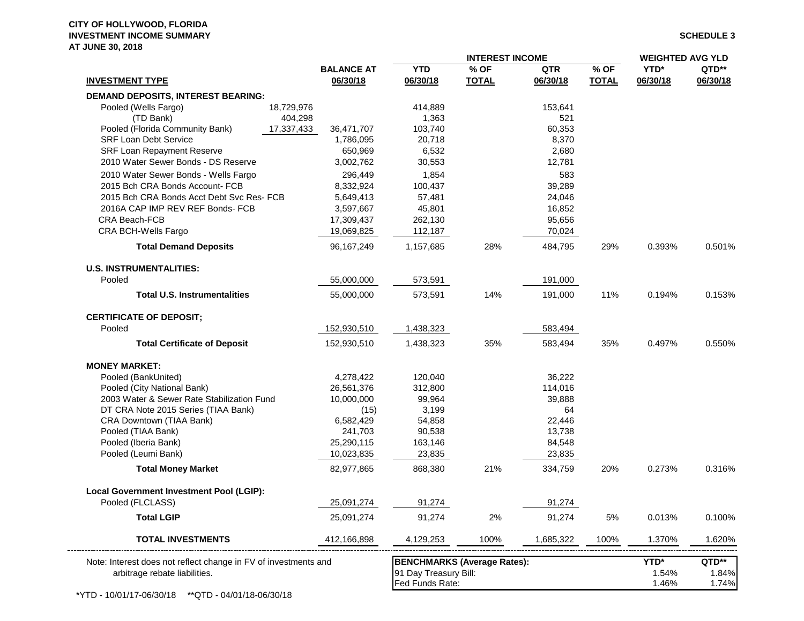#### **CITY OF HOLLYWOOD, FLORIDA INVESTMENT INCOME SUMMARY SCHEDULE 3 AT JUNE 30, 2018**

|                                                                 | <b>INTEREST INCOME</b>        |                        |                                    |                        |                      | <b>WEIGHTED AVG YLD</b> |                   |  |
|-----------------------------------------------------------------|-------------------------------|------------------------|------------------------------------|------------------------|----------------------|-------------------------|-------------------|--|
| <b>INVESTMENT TYPE</b>                                          | <b>BALANCE AT</b><br>06/30/18 | <b>YTD</b><br>06/30/18 | % OF<br><b>TOTAL</b>               | <b>QTR</b><br>06/30/18 | % OF<br><b>TOTAL</b> | YTD*<br>06/30/18        | QTD**<br>06/30/18 |  |
| <b>DEMAND DEPOSITS, INTEREST BEARING:</b>                       |                               |                        |                                    |                        |                      |                         |                   |  |
| Pooled (Wells Fargo)<br>18,729,976                              |                               | 414,889                |                                    | 153,641                |                      |                         |                   |  |
| (TD Bank)<br>404,298                                            |                               | 1,363                  |                                    | 521                    |                      |                         |                   |  |
| Pooled (Florida Community Bank)<br>17,337,433                   | 36,471,707                    | 103,740                |                                    | 60,353                 |                      |                         |                   |  |
| <b>SRF Loan Debt Service</b>                                    | 1,786,095                     | 20,718                 |                                    | 8,370                  |                      |                         |                   |  |
| <b>SRF Loan Repayment Reserve</b>                               | 650,969                       | 6,532                  |                                    | 2,680                  |                      |                         |                   |  |
| 2010 Water Sewer Bonds - DS Reserve                             | 3,002,762                     | 30,553                 |                                    | 12,781                 |                      |                         |                   |  |
| 2010 Water Sewer Bonds - Wells Fargo                            | 296,449                       | 1,854                  |                                    | 583                    |                      |                         |                   |  |
| 2015 Bch CRA Bonds Account- FCB                                 | 8,332,924                     | 100,437                |                                    | 39,289                 |                      |                         |                   |  |
| 2015 Bch CRA Bonds Acct Debt Svc Res- FCB                       | 5,649,413                     | 57,481                 |                                    | 24,046                 |                      |                         |                   |  |
| 2016A CAP IMP REV REF Bonds- FCB                                | 3,597,667                     | 45,801                 |                                    | 16,852                 |                      |                         |                   |  |
| CRA Beach-FCB                                                   | 17,309,437                    | 262,130                |                                    | 95,656                 |                      |                         |                   |  |
| CRA BCH-Wells Fargo                                             | 19,069,825                    | 112,187                |                                    | 70,024                 |                      |                         |                   |  |
| <b>Total Demand Deposits</b>                                    | 96, 167, 249                  | 1,157,685              | 28%                                | 484,795                | 29%                  | 0.393%                  | 0.501%            |  |
| <b>U.S. INSTRUMENTALITIES:</b>                                  |                               |                        |                                    |                        |                      |                         |                   |  |
| Pooled                                                          | 55,000,000                    | 573,591                |                                    | 191,000                |                      |                         |                   |  |
| <b>Total U.S. Instrumentalities</b>                             | 55,000,000                    | 573,591                | 14%                                | 191,000                | 11%                  | 0.194%                  | 0.153%            |  |
| <b>CERTIFICATE OF DEPOSIT;</b>                                  |                               |                        |                                    |                        |                      |                         |                   |  |
| Pooled                                                          | 152,930,510                   | 1,438,323              |                                    | 583,494                |                      |                         |                   |  |
| <b>Total Certificate of Deposit</b>                             | 152,930,510                   | 1,438,323              | 35%                                | 583,494                | 35%                  | 0.497%                  | 0.550%            |  |
| <b>MONEY MARKET:</b>                                            |                               |                        |                                    |                        |                      |                         |                   |  |
| Pooled (BankUnited)                                             | 4,278,422                     | 120,040                |                                    | 36,222                 |                      |                         |                   |  |
| Pooled (City National Bank)                                     | 26,561,376                    | 312,800                |                                    | 114,016                |                      |                         |                   |  |
| 2003 Water & Sewer Rate Stabilization Fund                      | 10,000,000                    | 99,964                 |                                    | 39,888                 |                      |                         |                   |  |
| DT CRA Note 2015 Series (TIAA Bank)                             | (15)                          | 3,199                  |                                    | 64                     |                      |                         |                   |  |
| CRA Downtown (TIAA Bank)                                        | 6,582,429                     | 54,858                 |                                    | 22,446                 |                      |                         |                   |  |
| Pooled (TIAA Bank)                                              | 241,703                       | 90,538                 |                                    | 13,738                 |                      |                         |                   |  |
| Pooled (Iberia Bank)                                            | 25,290,115                    | 163,146                |                                    | 84,548                 |                      |                         |                   |  |
| Pooled (Leumi Bank)                                             | 10,023,835                    | 23,835                 |                                    | 23,835                 |                      |                         |                   |  |
| <b>Total Money Market</b>                                       | 82,977,865                    | 868,380                | 21%                                | 334,759                | 20%                  | 0.273%                  | 0.316%            |  |
| <b>Local Government Investment Pool (LGIP):</b>                 |                               |                        |                                    |                        |                      |                         |                   |  |
| Pooled (FLCLASS)                                                | 25,091,274                    | 91,274                 |                                    | 91,274                 |                      |                         |                   |  |
| <b>Total LGIP</b>                                               | 25,091,274                    | 91,274                 | 2%                                 | 91,274                 | 5%                   | 0.013%                  | 0.100%            |  |
| <b>TOTAL INVESTMENTS</b>                                        | 412,166,898                   | 4,129,253              | 100%                               | 1,685,322              | 100%                 | 1.370%                  | 1.620%            |  |
| Note: Interest does not reflect change in FV of investments and |                               |                        | <b>BENCHMARKS (Average Rates):</b> |                        |                      | YTD*                    | QTD**             |  |
| arbitrage rebate liabilities.                                   |                               | 91 Day Treasury Bill:  |                                    |                        |                      | 1.54%                   | 1.84%             |  |
|                                                                 |                               | Fed Funds Rate:        |                                    |                        |                      | 1.46%                   | 1.74%             |  |